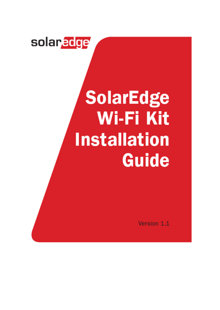# solar*edge*

# **SolarEdge Wi-Fi Kit Installation Guide**

Version 1.1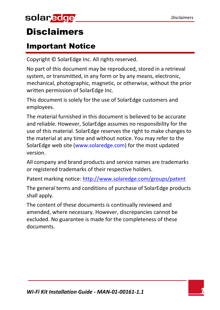# solar*edge*

### <span id="page-2-0"></span>**Disclaimers**

### <span id="page-2-1"></span>Important Notice

Copyright © SolarEdge Inc. All rights reserved.

No part of this document may be reproduced, stored in a retrieval system, or transmitted, in any form or by any means, electronic, mechanical, photographic, magnetic, or otherwise, without the prior written permission of SolarEdge Inc.

This document is solely for the use of SolarEdge customers and employees.

The material furnished in this document is believed to be accurate and reliable. However, SolarEdge assumes no responsibility for the use of this material. SolarEdge reserves the right to make changes to the material at any time and without notice. You may refer to the SolarEdge web site [\(www.solaredge.com\)](http://www.solaredge.com/) for the most updated version.

All company and brand products and service names are trademarks or registered trademarks of their respective holders.

Patent marking notice:<http://www.solaredge.com/groups/patent>

The general terms and conditions of purchase of SolarEdge products shall apply.

The content of these documents is continually reviewed and amended, where necessary. However, discrepancies cannot be excluded. No guarantee is made for the completeness of these documents.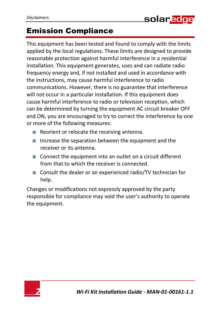### <span id="page-3-0"></span>Emission Compliance

This equipment has been tested and found to comply with the limits applied by the local regulations. These limits are designed to provide reasonable protection against harmful interference in a residential installation. This equipment generates, uses and can radiate radio frequency energy and, if not installed and used in accordance with the instructions, may cause harmful interference to radio communications. However, there is no guarantee that interference will not occur in a particular installation. If this equipment does cause harmful interference to radio or television reception, which can be determined by turning the equipment AC circuit breaker OFF and ON, you are encouraged to try to correct the interference by one or more of the following measures:

- Reorient or relocate the receiving antenna.
- $\blacksquare$  Increase the separation between the equipment and the receiver or its antenna.
- Connect the equipment into an outlet on a circuit different from that to which the receiver is connected.
- Consult the dealer or an experienced radio/TV technician for help.

Changes or modifications not expressly approved by the party responsible for compliance may void the user's authority to operate the equipment.

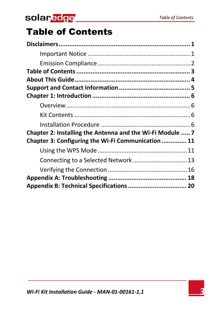# solarddge

# <span id="page-4-0"></span>Table of Contents

| Chapter 2: Installing the Antenna and the Wi-Fi Module  7 |  |
|-----------------------------------------------------------|--|
| Chapter 3: Configuring the Wi-Fi Communication  11        |  |
|                                                           |  |
| Connecting to a Selected Network  13                      |  |
|                                                           |  |
|                                                           |  |
| Appendix B: Technical Specifications  20                  |  |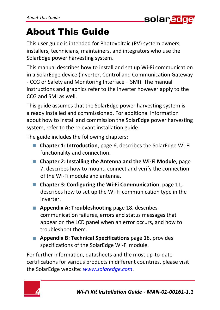

# <span id="page-5-0"></span>About This Guide

This user guide is intended for Photovoltaic (PV) system owners, installers, technicians, maintainers, and integrators who use the SolarEdge power harvesting system.

This manual describes how to install and set up Wi-Fi communication in a SolarEdge device (inverter, Control and Communication Gateway - CCG or Safety and Monitoring Interface – SMI). The manual instructions and graphics refer to the inverter however apply to the CCG and SMI as well.

This guide assumes that the SolarEdge power harvesting system is already installed and commissioned. For additional information about how to install and commission the SolarEdge power harvesting system, refer to the relevant installation guide.

The guide includes the following chapters:

- **[Chapter 1: Introduction](#page-7-0)**, pag[e 6,](#page-7-0) describes the SolarEdge Wi-Fi functionality and connection.
- **[Chapter 2: Installing the Antenna](#page-8-0) and the Wi-Fi Module,** page [7,](#page-8-0) describes how to mount, connect and verify the connection of the Wi-Fi module and antenna.
- **[Chapter 3: Configuring](#page-12-0) the Wi-Fi Communication**, pag[e 11,](#page-12-0)  describes how to set up the Wi-Fi communication type in the inverter.
- **[Appendix A: Troubleshooting](#page-19-0)** pag[e 18,](#page-19-0) describes communication failures, errors and status messages that appear on the LCD panel when an error occurs, and how to troubleshoot them.
- **[Appendix B: Technical Specifications](#page-21-0)** pag[e 18,](#page-19-0) provides specifications of the SolarEdge Wi-Fi module.

For further information, datasheets and the most up-to-date certifications for various products in different countries, please visit the SolarEdge website: *[www.solaredge.com](http://www.solaredge.com/)*.

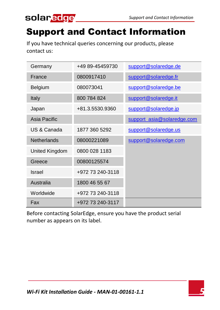

# <span id="page-6-0"></span>Support and Contact Information

If you have technical queries concerning our products, please contact us:

| Germany            | +49 89-45459730  | support@solaredge.de       |
|--------------------|------------------|----------------------------|
| France             | 0800917410       | support@solaredge.fr       |
| Belgium            | 080073041        | support@solaredge.be       |
| Italy              | 800 784 824      | support@solaredge.it       |
| Japan              | +81.3.5530.9360  | support@solaredge.jp       |
| Asia Pacific       |                  | support asia@solaredge.com |
| US & Canada        | 1877 360 5292    | support@solaredge.us       |
| <b>Netherlands</b> | 08000221089      | support@solaredge.com      |
| United Kingdom     | 0800 028 1183    |                            |
| Greece             | 00800125574      |                            |
| Israel             | +972 73 240-3118 |                            |
| Australia          | 1800 46 55 67    |                            |
| Worldwide          | +972 73 240-3118 |                            |
| Fax                | +972 73 240-3117 |                            |

Before contacting SolarEdge, ensure you have the product serial number as appears on its label.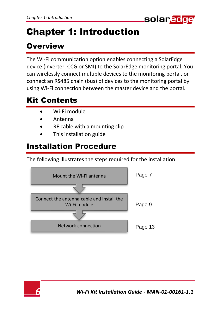

# <span id="page-7-0"></span>Chapter 1: Introduction

### <span id="page-7-1"></span>**Overview**

The Wi-Fi communication option enables connecting a SolarEdge device (inverter, CCG or SMI) to the SolarEdge monitoring portal. You can wirelessly connect multiple devices to the monitoring portal, or connect an RS485 chain (bus) of devices to the monitoring portal by using Wi-Fi connection between the master device and the portal.

### <span id="page-7-2"></span>Kit Contents

- Wi-Fi module
- Antenna
- RF cable with a mounting clip
- This installation guide

### <span id="page-7-3"></span>Installation Procedure

The following illustrates the steps required for the installation:



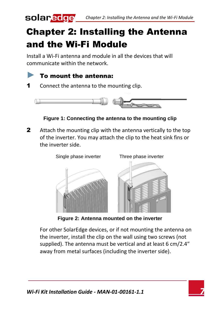# <span id="page-8-0"></span>Chapter 2: Installing the Antenna and the Wi-Fi Module

Install a Wi-Fi antenna and module in all the devices that will communicate within the network.



**1** Connect the antenna to the mounting clip.



#### **Figure 1: Connecting the antenna to the mounting clip**

2 Attach the mounting clip with the antenna vertically to the top of the inverter. You may attach the clip to the heat sink fins or the inverter side.



**Figure 2: Antenna mounted on the inverter**

For other SolarEdge devices, or if not mounting the antenna on the inverter, install the clip on the wall using two screws (not supplied). The antenna must be vertical and at least 6 cm/2.4″ away from metal surfaces (including the inverter side).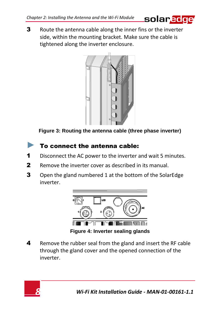

3 Route the antenna cable along the inner fins or the inverter side, within the mounting bracket. Make sure the cable is tightened along the inverter enclosure.



**Figure 3: Routing the antenna cable (three phase inverter)**

#### To connect the antenna cable:

- 1 Disconnect the AC power to the inverter and wait 5 minutes.
- 2 Remove the inverter cover as described in its manual.
- **3** Open the gland numbered 1 at the bottom of the SolarEdge inverter.



**Figure 4: Inverter sealing glands** 

4 Remove the rubber seal from the gland and insert the RF cable through the gland cover and the opened connection of the inverter.

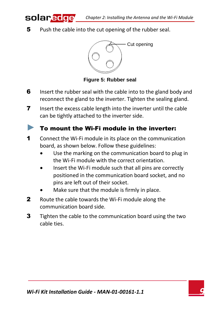5 Push the cable into the cut opening of the rubber seal.

solar.edge



**Figure 5: Rubber seal** 

- **6** Insert the rubber seal with the cable into to the gland body and reconnect the gland to the inverter. Tighten the sealing gland.
- **7** Insert the excess cable length into the inverter until the cable can be tightly attached to the inverter side.

#### <span id="page-10-0"></span>To mount the Wi-Fi module in the inverter:

- 1 Connect the Wi-Fi module in its place on the communication board, as shown below. Follow these guidelines:
	- Use the marking on the communication board to plug in the Wi-Fi module with the correct orientation.
	- Insert the Wi-Fi module such that all pins are correctly positioned in the communication board socket, and no pins are left out of their socket.
	- Make sure that the module is firmly in place.
- 2 Route the cable towards the Wi-Fi module along the communication board side.
- **3** Tighten the cable to the communication board using the two cable ties.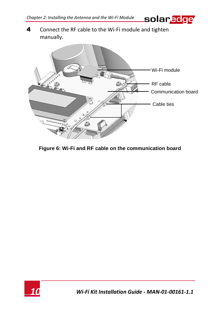solar<mark>edge</mark>

4 Connect the RF cable to the Wi-Fi module and tighten manually.



**Figure 6: Wi-Fi and RF cable on the communication board**

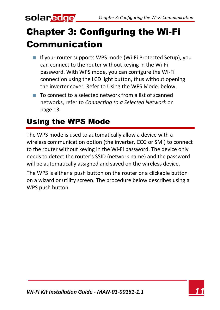# solar.<mark>edge</mark>

# <span id="page-12-0"></span>Chapter 3: Configuring the Wi-Fi **Communication**

- **IF If your router supports WPS mode (Wi-Fi Protected Setup), you** can connect to the router without keying in the Wi-Fi password. With WPS mode, you can configure the Wi-Fi connection using the LCD light button, thus without opening the inverter cover. Refer t[o Using the WPS Mode](#page-12-1)*,* below.
- $\blacksquare$  To connect to a selected network from a list of scanned networks, refer to *[Connecting to a Selected Network](#page-14-0)* on page [13.](#page-14-0)

### <span id="page-12-1"></span>Using the WPS Mode

The WPS mode is used to automatically allow a device with a wireless communication option (the inverter, CCG or SMI) to connect to the router without keying in the Wi-Fi password. The device only needs to detect the router's SSID (network name) and the password will be automatically assigned and saved on the wireless device.

The WPS is either a push button on the router or a clickable button on a wizard or utility screen. The procedure below describes using a WPS push button.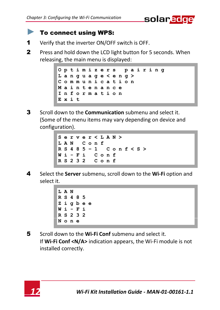

#### ► To connect using WPS:

- 1 Verify that the inverter ON/OFF switch is OFF.
- 2 Press and hold down the LCD light button for 5 seconds. When releasing, the main menu is displayed:

**O p t i m i z e r s p a i r i n g L a n g u a g e < e n g > C o m m u n i c a t i o n M a i n t e n a n c e I n f o r m a t i o n Exit**

- 3 Scroll down to the **Communication** submenu and select it. (Some of the menu items may vary depending on device and configuration).
	- **S e r v e r < L A N > L A N C o n f R S 4 8 5 – 1 C o n f < S > W i - F i C o n f R S 2 3 2 C o n f**
- 4 Select the **Server** submenu, scroll down to the **Wi-Fi** option and select it.
	- **LAN R S 4 8 5 Z i g b e e W i - F i R S 2 3 2 None**
- 5 Scroll down to the **Wi-Fi Conf** submenu and select it. If **Wi-Fi Conf <N/A>** indication appears, the Wi-Fi module is not installed correctly.

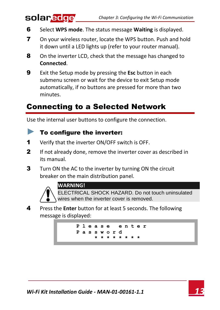- 6 Select **WPS mode**. The status message **Waiting** is displayed.
- 7 On your wireless router, locate the WPS button. Push and hold it down until a LED lights up (refer to your router manual).
- 8 On the inverter LCD, check that the message has changed to **Connected**.
- 9 Exit the Setup mode by pressing the **Esc** button in each submenu screen or wait for the device to exit Setup mode automatically, if no buttons are pressed for more than two minutes.

### <span id="page-14-0"></span>Connecting to a Selected Network

Use the internal user buttons to configure the connection.

#### <span id="page-14-1"></span> $\blacktriangleright$  To configure the inverter:

- 1 Verify that the inverter ON/OFF switch is OFF.
- **2** If not already done, remove the inverter cover as described in its manual.
- 3 Turn ON the AC to the inverter by turning ON the circuit breaker on the main distribution panel.



solar.edge

#### **WARNING!**

ELECTRICAL SHOCK HAZARD. Do not touch uninsulated wires when the inverter cover is removed.

4 Press the **Enter** button for at least 5 seconds. The following message is displayed:

> **P l e a s e ent e r P a s s w o r d \* \* \* \* \* \* \* \***

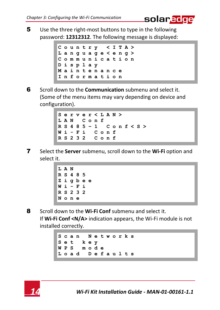5 Use the three right-most buttons to type in the following password: **12312312**. The following message is displayed:

solar<mark>edge</mark>



6 Scroll down to the **Communication** submenu and select it. (Some of the menu items may vary depending on device and configuration).

```
S e r v e r < L A N >
L A N C o n f
R S 4 8 5 – 1 C o n f < S >
W i - F i C o n f
R S 2 3 2
```
7 Select the **Server** submenu, scroll down to the **Wi-Fi** option and select it.

```
LAN
R S 4 8 5
Z i g b e e
W i - F i
R S 2 3 2
None
```
8 Scroll down to the **Wi-Fi Conf** submenu and select it. If **Wi-Fi Conf <N/A>** indication appears, the Wi-Fi module is not installed correctly.

```
S c a n N e t w o r k s
S e t k e y
W P S m o d e
L o a d D e f a u l t s
```
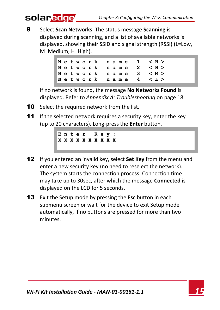9 Select **Scan Networks**. The status message **Scanning** is displayed during scanning, and a list of available networks is displayed, showing their SSID and signal strength (RSSI) (L=Low, M=Medium, H=High).



If no network is found, the message **No Networks Found** is displayed. Refer to *[Appendix A: Troubleshooting](#page-19-0)* on pag[e 18.](#page-19-0)

**10** Select the required network from the list.

solaredge

11 If the selected network requires a security key, enter the key (up to 20 characters). Long-press the **Enter** button.

> **E n t e r K e y : X X X X X X X X X X**

- 12 If you entered an invalid key, select **Set Key** from the menu and enter a new security key (no need to reselect the network). The system starts the connection process. Connection time may take up to 30sec, after which the message **Connected** is displayed on the LCD for 5 seconds.
- 13 Exit the Setup mode by pressing the **Esc** button in each submenu screen or wait for the device to exit Setup mode automatically, if no buttons are pressed for more than two minutes.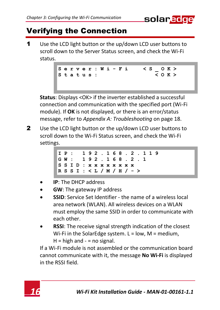

### <span id="page-17-0"></span>Verifying the Connection

1 Use the LCD light button or the up/down LCD user buttons to scroll down to the Server Status screen, and check the Wi-Fi status.

> **S e r v e r : W i - F i < S \_ O K >** S t a t u s :

**Status**: Displays <OK> if the inverter established a successful connection and communication with the specified port (Wi-Fi module). If **OK** is not displayed, or there is an error/status message, refer to *[Appendix A: Troubleshooting](#page-19-0)* on pag[e 18.](#page-19-0)

2 Use the LCD light button or the up/down LCD user buttons to scroll down to the Wi-Fi Status screen, and check the Wi-Fi settings.

| IP: 192.168.2.119           |  |  |  |  |  |  |  |  |
|-----------------------------|--|--|--|--|--|--|--|--|
| GW: 192.168.2.1             |  |  |  |  |  |  |  |  |
| IS S I D : x x x x x x x x  |  |  |  |  |  |  |  |  |
| R S S I : < L / M / H / - > |  |  |  |  |  |  |  |  |

- **IP**: The DHCP address
- **GW**: The gateway IP address
- **SSID**: Service Set Identifier the name of a wireless local area network (WLAN). All wireless devices on a WLAN must employ the same SSID in order to communicate with each other.
- **RSSI**: The receive signal strength indication of the closest Wi-Fi in the SolarEdge system.  $L = low$ ,  $M = medium$ ,  $H = h$ igh and  $- = n$ o signal.

If a Wi-Fi module is not assembled or the communication board cannot communicate with it, the message **No Wi-Fi** is displayed in the RSSI field.

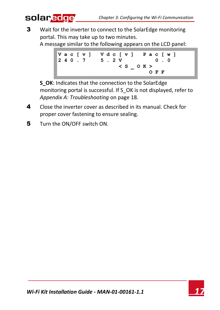**3** Wait for the inverter to connect to the SolarEdge monitoring portal. This may take up to two minutes.

A message similar to the following appears on the LCD panel:



**S\_OK**: Indicates that the connection to the SolarEdge monitoring portal is successful. If S\_OK is not displayed, refer to *[Appendix A: Troubleshooting](#page-19-0)* on pag[e 18.](#page-19-0)

- 4 Close the inverter cover as described in its manual. Check for proper cover fastening to ensure sealing.
- 5 Turn the ON/OFF switch ON.

solar<mark>edge</mark>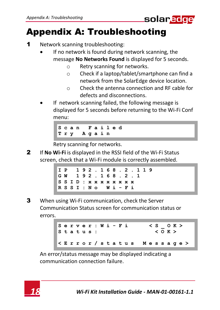

## <span id="page-19-0"></span>Appendix A: Troubleshooting

- 1 Network scanning troubleshooting:
	- If no network is found during network scanning, the message **No Networks Found** is displayed for 5 seconds.
		- o Retry scanning for networks.
		- o Check if a laptop/tablet/smartphone can find a network from the SolarEdge device location.
		- o Check the antenna connection and RF cable for defects and disconnections.
	- If network scanning failed, the following message is displayed for 5 seconds before returning to the Wi-Fi Conf menu:



Retry scanning for networks.

2 If **No Wi-Fi** is displayed in the RSSI field of the Wi-Fi Status screen, check that a Wi-Fi module is correctly assembled.



3 When using Wi-Fi communication, check the Server Communication Status screen for communication status or errors.

> S **e r v e r** : **W** i - **F** i < S \_ O K ><br>S + a + u s · < O K > **Status: < E r r o r / s t a t u s M e s s a g e >**

An error/status message may be displayed indicating a communication connection failure.

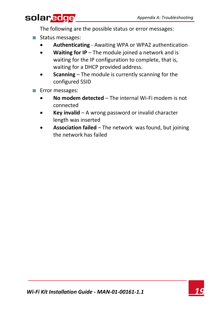### solar<mark>edge</mark>

The following are the possible status or error messages:

- Status messages:
	- **Authenticating** Awaiting WPA or WPA2 authentication
	- **Waiting for IP** The module joined a network and is waiting for the IP configuration to complete, that is, waiting for a DHCP provided address.
	- **Scanning** The module is currently scanning for the configured SSID
- **Error messages:**<br>No modem
	- **No modem detected** The internal Wi-Fi modem is not connected
	- **Key invalid** A wrong password or invalid character length was inserted
	- **Association failed** The network was found, but joining the network has failed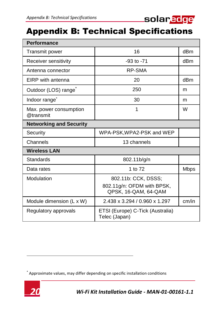

### <span id="page-21-0"></span>Appendix B: Technical Specifications

| Performance                         |                                                                           |                 |  |  |  |  |  |
|-------------------------------------|---------------------------------------------------------------------------|-----------------|--|--|--|--|--|
| Transmit power                      | 16                                                                        | dB <sub>m</sub> |  |  |  |  |  |
| Receiver sensitivity                | $-93$ to $-71$                                                            | dB <sub>m</sub> |  |  |  |  |  |
| Antenna connector                   | RP-SMA                                                                    |                 |  |  |  |  |  |
| FIRP with antenna                   | 20                                                                        | dBm             |  |  |  |  |  |
| Outdoor (LOS) range                 | 250                                                                       | m               |  |  |  |  |  |
| Indoor range <sup>®</sup>           | 30                                                                        | m               |  |  |  |  |  |
| Max. power consumption<br>@transmit | 1                                                                         | W               |  |  |  |  |  |
| <b>Networking and Security</b>      |                                                                           |                 |  |  |  |  |  |
| Security                            | WPA-PSK.WPA2-PSK and WEP                                                  |                 |  |  |  |  |  |
| Channels                            | 13 channels                                                               |                 |  |  |  |  |  |
| <b>Wireless LAN</b>                 |                                                                           |                 |  |  |  |  |  |
| Standards                           | 802.11b/g/n                                                               |                 |  |  |  |  |  |
| Data rates                          | 1 to 72                                                                   | <b>Mbps</b>     |  |  |  |  |  |
| Modulation                          | 802.11b: CCK, DSSS;<br>802.11g/n: OFDM with BPSK,<br>QPSK, 16-QAM, 64-QAM |                 |  |  |  |  |  |
| Module dimension (L x W)            | 2.438 x 3.294 / 0.960 x 1.297                                             | cm/in           |  |  |  |  |  |
| Regulatory approvals                | ETSI (Europe) C-Tick (Australia)<br>Telec (Japan)                         |                 |  |  |  |  |  |

<sup>\*</sup> Approximate values, may differ depending on specific installation conditions



1